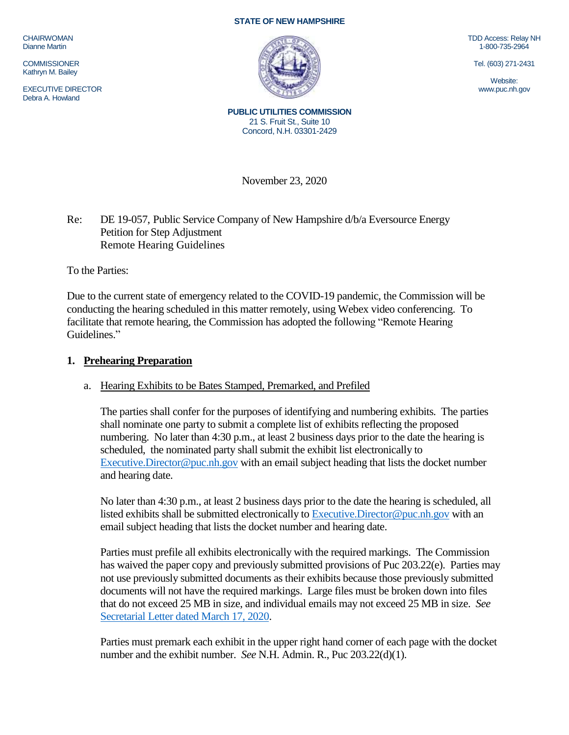CHAIRWOMAN Dianne Martin

**COMMISSIONER** Kathryn M. Bailey

EXECUTIVE DIRECTOR Debra A. Howland

#### **STATE OF NEW HAMPSHIRE**



TDD Access: Relay NH 1-800-735-2964

Tel. (603) 271-2431

Website: www.puc.nh.gov

**PUBLIC UTILITIES COMMISSION** 21 S. Fruit St., Suite 10 Concord, N.H. 03301-2429

November 23, 2020

## Re: DE 19-057, Public Service Company of New Hampshire d/b/a Eversource Energy Petition for Step Adjustment Remote Hearing Guidelines

To the Parties:

Due to the current state of emergency related to the COVID-19 pandemic, the Commission will be conducting the hearing scheduled in this matter remotely, using Webex video conferencing. To facilitate that remote hearing, the Commission has adopted the following "Remote Hearing Guidelines."

#### **1. Prehearing Preparation**

## a. Hearing Exhibits to be Bates Stamped, Premarked, and Prefiled

The parties shall confer for the purposes of identifying and numbering exhibits. The parties shall nominate one party to submit a complete list of exhibits reflecting the proposed numbering. No later than 4:30 p.m., at least 2 business days prior to the date the hearing is scheduled, the nominated party shall submit the exhibit list electronically to [Executive.Director@puc.nh.gov](mailto:Executive.Director@puc.nh.gov) with an email subject heading that lists the docket number and hearing date.

No later than 4:30 p.m., at least 2 business days prior to the date the hearing is scheduled, all listed exhibits shall be submitted electronically to Executive. Director@puc.nh.gov with an email subject heading that lists the docket number and hearing date.

Parties must prefile all exhibits electronically with the required markings. The Commission has waived the paper copy and previously submitted provisions of Puc 203.22(e). Parties may not use previously submitted documents as their exhibits because those previously submitted documents will not have the required markings. Large files must be broken down into files that do not exceed 25 MB in size, and individual emails may not exceed 25 MB in size. *See*  [Secretarial Letter dated March 17, 2020.](https://www.puc.nh.gov/Regulatory/Secretarial%20Letters/20200317-SecLtr-Temp-Changes-in-Filing-Requirements.pdf)

Parties must premark each exhibit in the upper right hand corner of each page with the docket number and the exhibit number. *See* N.H. Admin. R., Puc 203.22(d)(1).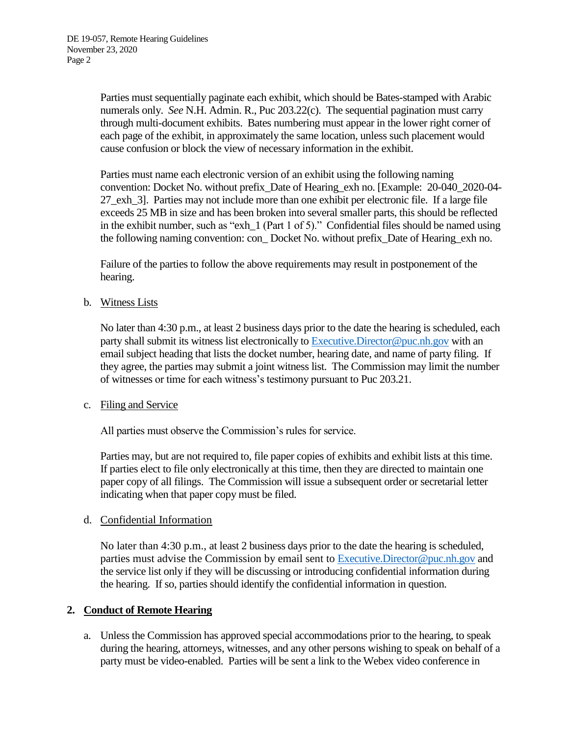Parties must sequentially paginate each exhibit, which should be Bates-stamped with Arabic numerals only. *See* N.H. Admin. R., Puc 203.22(c). The sequential pagination must carry through multi-document exhibits. Bates numbering must appear in the lower right corner of each page of the exhibit, in approximately the same location, unless such placement would cause confusion or block the view of necessary information in the exhibit.

Parties must name each electronic version of an exhibit using the following naming convention: Docket No. without prefix\_Date of Hearing\_exh no. [Example: 20-040\_2020-04- 27\_exh\_3]. Parties may not include more than one exhibit per electronic file. If a large file exceeds 25 MB in size and has been broken into several smaller parts, this should be reflected in the exhibit number, such as "exh\_1 (Part 1 of 5)." Confidential files should be named using the following naming convention: con\_ Docket No. without prefix\_Date of Hearing\_exh no.

Failure of the parties to follow the above requirements may result in postponement of the hearing.

b. Witness Lists

No later than 4:30 p.m., at least 2 business days prior to the date the hearing is scheduled, each party shall submit its witness list electronically to [Executive.Director@puc.nh.gov](mailto:Executive.Director@puc.nh.gov) with an email subject heading that lists the docket number, hearing date, and name of party filing. If they agree, the parties may submit a joint witness list. The Commission may limit the number of witnesses or time for each witness's testimony pursuant to Puc 203.21.

## c. Filing and Service

All parties must observe the Commission's rules for service.

Parties may, but are not required to, file paper copies of exhibits and exhibit lists at this time. If parties elect to file only electronically at this time, then they are directed to maintain one paper copy of all filings. The Commission will issue a subsequent order or secretarial letter indicating when that paper copy must be filed.

## d. Confidential Information

No later than 4:30 p.m., at least 2 business days prior to the date the hearing is scheduled, parties must advise the Commission by email sent to [Executive.Director@puc.nh.gov](mailto:Executive.Director@puc.nh.gov) and the service list only if they will be discussing or introducing confidential information during the hearing. If so, parties should identify the confidential information in question.

## **2. Conduct of Remote Hearing**

a. Unless the Commission has approved special accommodations prior to the hearing, to speak during the hearing, attorneys, witnesses, and any other persons wishing to speak on behalf of a party must be video-enabled. Parties will be sent a link to the Webex video conference in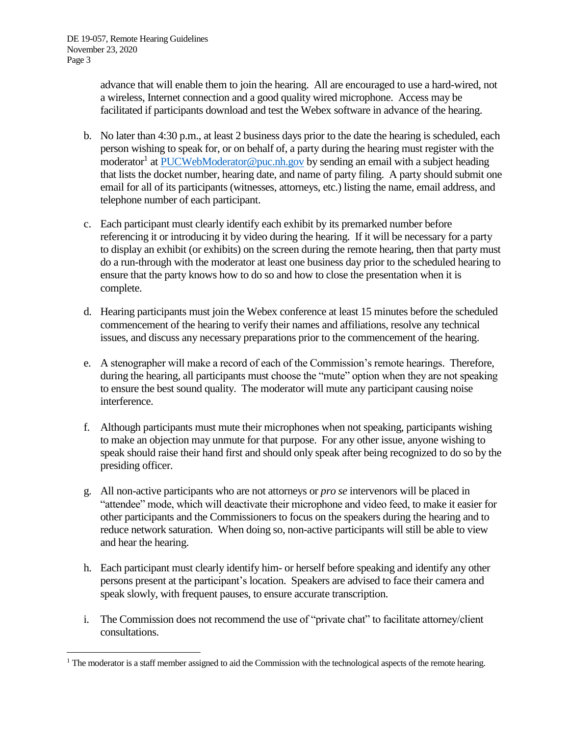$\overline{a}$ 

advance that will enable them to join the hearing. All are encouraged to use a hard-wired, not a wireless, Internet connection and a good quality wired microphone. Access may be facilitated if participants download and test the Webex software in advance of the hearing.

- b. No later than 4:30 p.m., at least 2 business days prior to the date the hearing is scheduled, each person wishing to speak for, or on behalf of, a party during the hearing must register with the moderator<sup>1</sup> a[t PUCWebModerator@puc.nh.gov](mailto:PUCWebModerator@puc.nh.gov) by sending an email with a subject heading that lists the docket number, hearing date, and name of party filing. A party should submit one email for all of its participants (witnesses, attorneys, etc.) listing the name, email address, and telephone number of each participant.
- c. Each participant must clearly identify each exhibit by its premarked number before referencing it or introducing it by video during the hearing. If it will be necessary for a party to display an exhibit (or exhibits) on the screen during the remote hearing, then that party must do a run-through with the moderator at least one business day prior to the scheduled hearing to ensure that the party knows how to do so and how to close the presentation when it is complete.
- d. Hearing participants must join the Webex conference at least 15 minutes before the scheduled commencement of the hearing to verify their names and affiliations, resolve any technical issues, and discuss any necessary preparations prior to the commencement of the hearing.
- e. A stenographer will make a record of each of the Commission's remote hearings. Therefore, during the hearing, all participants must choose the "mute" option when they are not speaking to ensure the best sound quality. The moderator will mute any participant causing noise interference.
- f. Although participants must mute their microphones when not speaking, participants wishing to make an objection may unmute for that purpose. For any other issue, anyone wishing to speak should raise their hand first and should only speak after being recognized to do so by the presiding officer.
- g. All non-active participants who are not attorneys or *pro se* intervenors will be placed in "attendee" mode, which will deactivate their microphone and video feed, to make it easier for other participants and the Commissioners to focus on the speakers during the hearing and to reduce network saturation. When doing so, non-active participants will still be able to view and hear the hearing.
- h. Each participant must clearly identify him- or herself before speaking and identify any other persons present at the participant's location. Speakers are advised to face their camera and speak slowly, with frequent pauses, to ensure accurate transcription.
- i. The Commission does not recommend the use of "private chat" to facilitate attorney/client consultations.

<sup>&</sup>lt;sup>1</sup> The moderator is a staff member assigned to aid the Commission with the technological aspects of the remote hearing.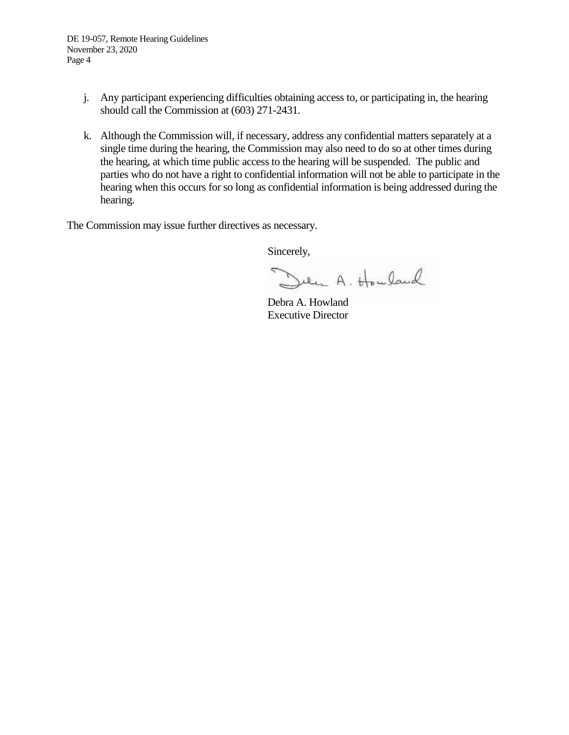- j. Any participant experiencing difficulties obtaining access to, or participating in, the hearing should call the Commission at (603) 271-2431.
- k. Although the Commission will, if necessary, address any confidential matters separately at a single time during the hearing, the Commission may also need to do so at other times during the hearing, at which time public access to the hearing will be suspended. The public and parties who do not have a right to confidential information will not be able to participate in the hearing when this occurs for so long as confidential information is being addressed during the hearing.

The Commission may issue further directives as necessary.

Sincerely,

Den A. Houland

Debra A. Howland Executive Director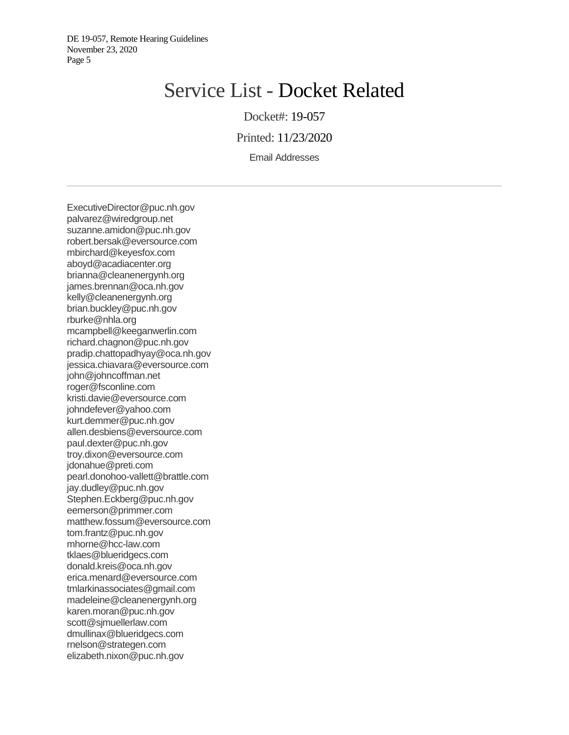DE 19-057, Remote Hearing Guidelines November 23, 2020 Page 5

# Service List - Docket Related

Docket#: 19-057

Printed: 11/23/2020

Email Addresses

ExecutiveDirector@puc.nh.gov palvarez@wiredgroup.net suzanne.amidon@puc.nh.gov robert.bersak@eversource.com mbirchard@keyesfox.com aboyd@acadiacenter.org brianna@cleanenergynh.org james.brennan@oca.nh.gov kelly@cleanenergynh.org brian.buckley@puc.nh.gov rburke@nhla.org mcampbell@keeganwerlin.com richard.chagnon@puc.nh.gov pradip.chattopadhyay@oca.nh.gov jessica.chiavara@eversource.com john@johncoffman.net roger@fsconline.com kristi.davie@eversource.com johndefever@yahoo.com kurt.demmer@puc.nh.gov allen.desbiens@eversource.com paul.dexter@puc.nh.gov troy.dixon@eversource.com jdonahue@preti.com pearl.donohoo-vallett@brattle.com jay.dudley@puc.nh.gov Stephen.Eckberg@puc.nh.gov eemerson@primmer.com matthew.fossum@eversource.com tom.frantz@puc.nh.gov mhorne@hcc-law.com tklaes@blueridgecs.com donald.kreis@oca.nh.gov erica.menard@eversource.com tmlarkinassociates@gmail.com madeleine@cleanenergynh.org karen.moran@puc.nh.gov scott@sjmuellerlaw.com dmullinax@blueridgecs.com rnelson@strategen.com elizabeth.nixon@puc.nh.gov